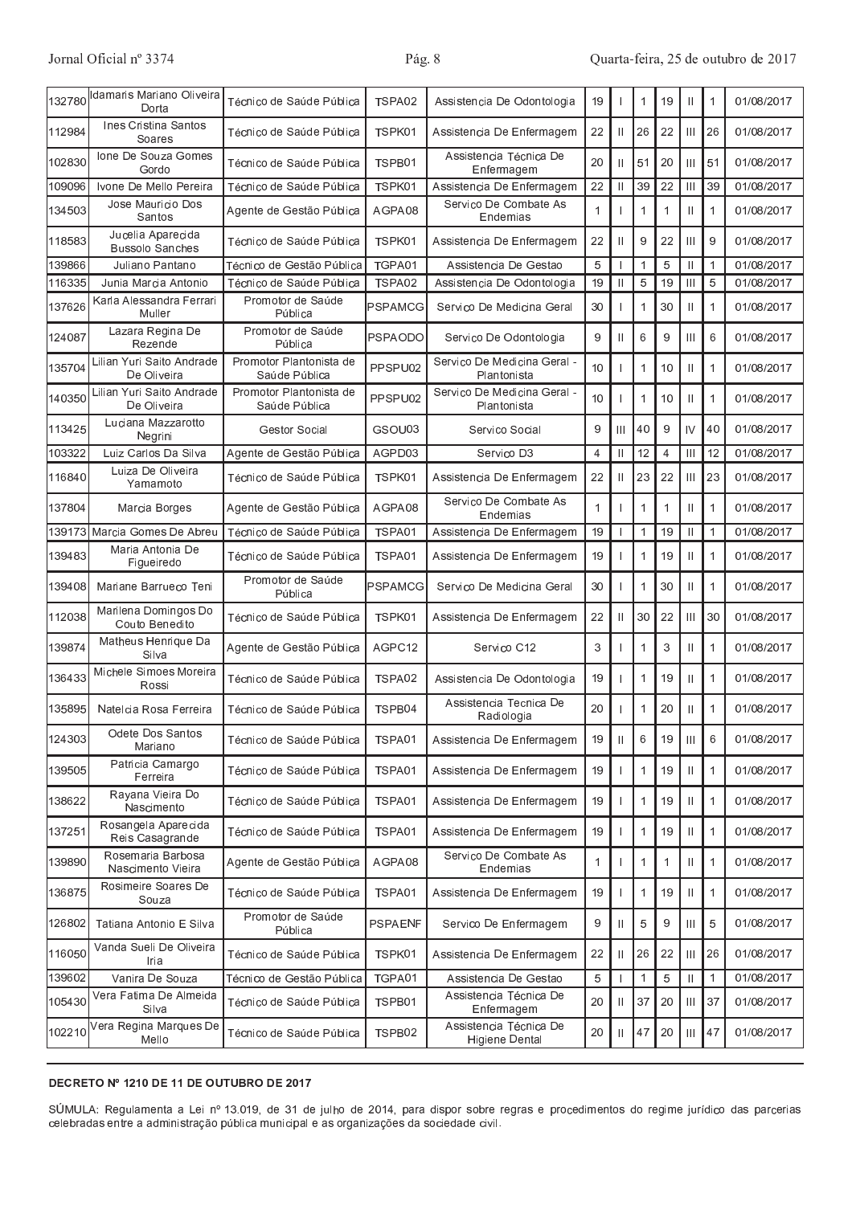| 132780 | damaris Mariano Oliveira<br>Dorta           | Técnico de Saúde Pública                 | TSPA02         | Assistencia De Odontologia                      | 19 |               | 1              | 19             |                                  | 1            | 01/08/2017 |
|--------|---------------------------------------------|------------------------------------------|----------------|-------------------------------------------------|----|---------------|----------------|----------------|----------------------------------|--------------|------------|
| 112984 | Ines Cristina Santos<br>Soares              | Técnico de Saúde Pública                 | TSPK01         | Assistencia De Enfermagem                       | 22 | $\mathbf{H}$  | 26             | 22             | $\mathbb{H}$                     | 26           | 01/08/2017 |
| 102830 | Ione De Souza Gomes<br>Gordo                | Técnico de Saúde Pública                 | TSPB01         | Assistencia Técnica De<br>Enfermagem            |    | $\mathbf{I}$  | 51             | 20             | $\mathbf{  }$                    | 51           | 01/08/2017 |
| 109096 | Ivone De Mello Pereira                      | Técnico de Saúde Pública                 | TSPK01         | Assistencia De Enfermagem                       |    | $\mathbf{  }$ | 39             | 22             | $\mathbf{III}$                   | 39           | 01/08/2017 |
| 134503 | Jose Mauricio Dos<br>Santos                 | Agente de Gestão Pública                 | AGPA08         | Servico De Combate As<br>Endemias               |    |               | 1              | 1              | $\mathbf{  }$                    | 1            | 01/08/2017 |
| 118583 | Jucelia Aparecida<br><b>Bussolo Sanches</b> | Técnico de Saúde Pública                 | TSPK01         | Assistencia De Enfermagem                       |    | $\mathbf{H}$  | 9              | 22             | Ш                                | 9            | 01/08/2017 |
| 139866 | Juliano Pantano                             | Técnico de Gestão Pública                | TGPA01         | Assistencia De Gestao                           |    |               | $\mathbf 1$    | 5              | $\mathbf{H}$                     | $\mathbf 1$  | 01/08/2017 |
| 116335 | Junia Marcia Antonio                        | Técnico de Saúde Pública                 | TSPA02         | Assistencia De Odontologia                      |    | $\mathbf{  }$ | 5              | 19             | $\mathbf{  }$                    | 5            | 01/08/2017 |
| 137626 | Karla Alessandra Ferrari<br>Muller          | Promotor de Saúde<br>Pública             | PSPAMCG        | Servico De Medicina Geral                       |    |               |                | 30             | $\mathbf{  }$                    | 1            | 01/08/2017 |
| 124087 | Lazara Regina De<br>Rezende                 | Promotor de Saúde<br>Pública             | <b>PSPAODO</b> | Servico De Odontologia                          |    | $\mathbf{  }$ | 6              | 9              | $\mathbf{III}$                   | 6            | 01/08/2017 |
| 135704 | Lilian Yuri Saito Andrade<br>De Oliveira    | Promotor Plantonista de<br>Saúde Pública | PPSPU02        | Servico De Medicina Geral -<br>Plantonista      |    |               |                | 10             | $\mathbf{\mathsf{I}}$            | 1            | 01/08/2017 |
| 140350 | Lilian Yuri Saito Andrade<br>De Oliveira    | Promotor Plantonista de<br>Saúde Pública | PPSPU02        | Servico De Medicina Geral -<br>Plantonista      | 10 |               | $\mathbf 1$    | 10             | $\mathbf{\mathsf{II}}$           | 1            | 01/08/2017 |
| 113425 | Luciana Mazzarotto<br>Negrini               | Gestor Social                            | GSOU03         | Servico Social                                  |    | Ш             | 40             | 9              | $\mathsf{IV}$                    | 40           | 01/08/2017 |
| 103322 | Luiz Carlos Da Silva                        | Agente de Gestão Pública                 | AGPD03         | Servico D3                                      |    | $\mathbf{H}$  | 12             | $\overline{4}$ | $\mathbf{III}$                   | 12           | 01/08/2017 |
| 116840 | Luiza De Oliveira<br>Yamamoto               | Técnico de Saúde Pública                 | TSPK01         | Assistencia De Enfermagem                       |    | $\mathbf{H}$  | 23             | 22             | $\mathbf{III}$                   | 23           | 01/08/2017 |
| 137804 | Marcia Borges                               | Agente de Gestão Pública                 | AGPA08         | Servico De Combate As<br>Endemias               |    |               | $\mathbf 1$    | $\mathbf 1$    | $\mathbf{\mathsf{I}}$            | $\mathbf 1$  | 01/08/2017 |
| 139173 | Marcia Gomes De Abreu                       | Técnico de Saúde Pública                 | TSPA01         | Assistencia De Enfermagem                       | 19 |               | $\mathbf 1$    | 19             | $\mathbf{  }$                    | $\mathbf 1$  | 01/08/2017 |
| 139483 | Maria Antonia De<br>Figueiredo              | Técnico de Saúde Pública                 | TSPA01         | Assistencia De Enfermagem                       |    |               |                | 19             |                                  | 1            | 01/08/2017 |
| 139408 | Mariane Barrueco Teni                       | Promotor de Saúde<br>Pública             | PSPAMCG        | Servico De Medicina Geral                       |    |               |                | 30             | $\mathbf{\mathsf{II}}$           | 1            | 01/08/2017 |
| 112038 | Marilena Domingos Do<br>Couto Benedito      | Técnico de Saúde Pública                 | TSPK01         | Assistencia De Enfermagem                       |    | $\mathbf{  }$ | 30             | 22             | Ш                                | 30           | 01/08/2017 |
| 139874 | Matheus Henrique Da<br>Silva                | Agente de Gestão Pública                 | AGPC12         | Servico C12                                     |    |               | 1              | 3              | $\mathbf{  }$                    | 1            | 01/08/2017 |
| 136433 | Michele Simoes Moreira<br>Rossi             | Técnico de Saúde Pública                 | TSPA02         | Assistencia De Odontologia                      |    |               | $\mathbf 1$    | 19             | $\mathsf{II}$                    | 1            | 01/08/2017 |
| 135895 | Natelcia Rosa Ferreira                      | Técnico de Saúde Pública                 | TSPB04         | Assistencia Tecnica De<br>Radiologia            |    |               |                | 20             | $\mathbf{  }$                    | $\mathbf 1$  | 01/08/2017 |
| 124303 | Odete Dos Santos<br>Mariano                 | Técnico de Saúde Pública                 | TSPA01         | Assistencia De Enfermagem                       |    | $\mathbf{  }$ | 6              | 19             | $\mathop{\mathrm{III}}\nolimits$ | 6            | 01/08/2017 |
| 139505 | Patricia Camargo<br>Ferreira                | Técnico de Saúde Pública                 | TSPA01         | Assistencia De Enfermagem                       |    |               |                | 19             | $\mathbf{  }$                    | 1            | 01/08/2017 |
| 138622 | Rayana Vieira Do<br>Nascimento              | Técnico de Saúde Pública                 | TSPA01         | Assistencia De Enfermagem                       | 19 |               | $\mathbf 1$    | 19             | $\mathbf{\mathsf{I}}$            | $\mathbf{1}$ | 01/08/2017 |
| 137251 | Rosangela Aparecida<br>Reis Casagrande      | Técnico de Saúde Pública                 | TSPA01         | Assistencia De Enfermagem                       |    |               | 1              | 19             | $\mathsf{I}$                     | 1            | 01/08/2017 |
| 139890 | Rosemaria Barbosa<br>Nascimento Vieira      | Agente de Gestão Pública                 | AGPA08         | Servico De Combate As<br>Endemias               |    |               | $\mathbf 1$    | 1              | $\mathbf{  }$                    | 1            | 01/08/2017 |
| 136875 | Rosimeire Soares De<br>Souza                | Técnico de Saúde Pública                 | TSPA01         | Assistencia De Enfermagem                       |    |               | $\mathbf 1$    | 19             | $\mathbf{  }$                    | 1            | 01/08/2017 |
| 126802 | Tatiana Antonio E Silva                     | Promotor de Saúde<br>Pública             | <b>PSPAENF</b> | Servico De Enfermagem                           |    | $\mathbf{H}$  | 5              | 9              | $\mathbf{III}$                   | 5            | 01/08/2017 |
| 116050 | Vanda Sueli De Oliveira<br>Iria             | Técnico de Saúde Pública                 | TSPK01         | Assistencia De Enfermagem                       | 22 | $\mathbf{H}$  | 26             | 22             | $\mathbf{III}$                   | 26           | 01/08/2017 |
| 139602 | Vanira De Souza                             | Técnico de Gestão Pública                | TGPA01         | Assistencia De Gestao                           | 5  |               | $\overline{1}$ | 5              | $\mathbf{  }$                    | 1            | 01/08/2017 |
| 105430 | Vera Fatima De Almeida<br>Silva             | Técnico de Saúde Pública                 | TSPB01         | Assistencia Técnica De<br>Enfermagem            | 20 | $\mathbf{  }$ | 37             | 20             | $\mathbb{H}$                     | 37           | 01/08/2017 |
| 102210 | Vera Regina Marques De<br>Mello             | Técnico de Saúde Pública                 | TSPB02         | Assistencia Técnica De<br><b>Higiene Dental</b> | 20 | $\mathbf{  }$ | 47             | 20             | $\mathbf{III}$                   | 47           | 01/08/2017 |

# DECRETO Nº 1210 DE 11 DE OUTUBRO DE 2017

SÚMULA: Regulamenta a Lei nº 13.019, de 31 de julho de 2014, para dispor sobre regras e procedimentos do regime jurídico das parcerias<br>celebradas entre a administração pública municipal e as organizações da sociedade civil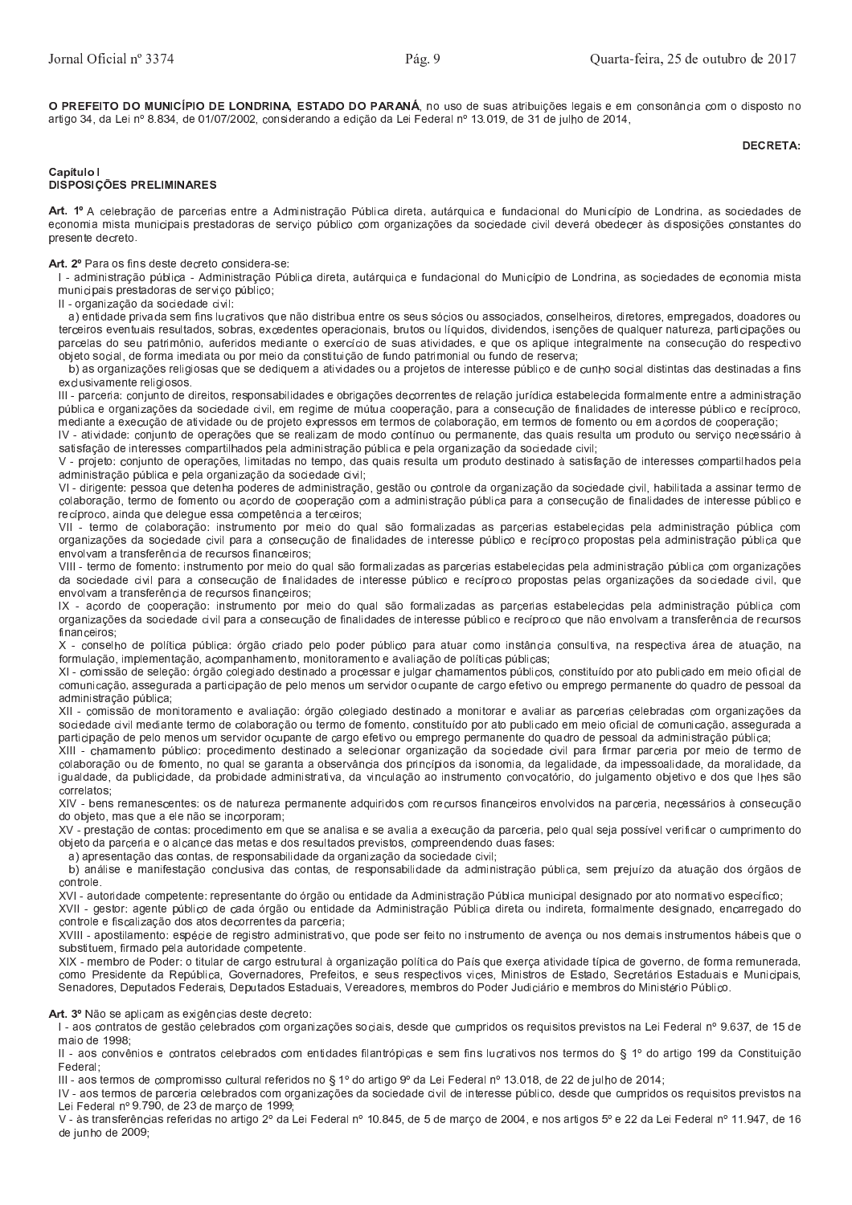O PREFEITO DO MUNICÍPIO DE LONDRINA. ESTADO DO PARANÁ, no uso de suas atribuições legais e em consonância com o disposto no artigo 34, da Lei nº 8.834, de 01/07/2002, considerando a edição da Lei Federal nº 13.019, de 31 de julho de 2014,

#### **DECRETA:**

#### Capítulo I **DISPOSICÕES PRELIMINARES**

Art. 1º A celebração de parcerias entre a Administração Pública direta, autárquica e fundacional do Município de Londrina, as sociedades de economia mista municipais prestadoras de serviço público com organizações da sociedade civil deverá obedecer às disposições constantes do presente decreto

Art. 2º Para os fins deste decreto considera-se:

I - administração pública - Administração Pública direta, autárquica e fundacional do Município de Londrina, as sociedades de economia mista municipais prestadoras de serviço público;

II - organização da sociedade civil

a) entidade privada sem fins lucrativos que não distribua entre os seus sócios ou associados, conselheiros, diretores, empregados, doadores ou terceiros eventuais resultados, sobras, excedentes operacionais, brutos ou líquidos, dividendos, isenções de qualquer natureza, participações ou parcelas do seu patrimônio, auferidos mediante o exercício de suas atividades, e que os aplique integralmente na consecução do respectivo objeto social, de forma imediata ou por meio da constituição de fundo patrimonial ou fundo de reserva;

b) as organizações religiosas que se dediquem a atividades ou a projetos de interesse público e de cunho social distintas das destinadas a fins exclusivamente religiosos

III - parceria: conjunto de direitos, responsabilidades e obrigações decorrentes de relação jurídica estabelecida formalmente entre a administração pública e organizações da sociedade civil, em regime de mútua cooperação, para a consecução de finalidades de interesse público e recíproco, mediante a execução de atividade ou de projeto expressos em termos de colaboração, em termos de fomento ou em acordos de cooperação;

IV - atividade: conjunto de operações que se realizam de modo contínuo ou permanente, das quais resulta um produto ou serviço necessário à satisfação de interesses compartilhados pela administração pública e pela organização da sociedade civil;

V - projeto: conjunto de operações, limitadas no tempo, das quais resulta um produto destinado à satisfação de interesses compartilhados pela administração pública e pela organização da sociedade civil;

VI - dirigente: pessoa que detenha poderes de administração, gestão ou controle da organização da sociedade civil, habilitada a assinar termo de colaboração, termo de fomento ou acordo de cooperação com a administração pública para a consecução de finalidades de interesse público e recíproco, ainda que delegue essa competência a terceiros;

VII - termo de colaboração: instrumento por meio do qual são formalizadas as parcerias estabelecidas pela administração pública com organizações da sociedade civil para a consecução de finalidades de interesse público e recíproco propostas pela administração pública que envolvam a transferência de recursos financeiros;

VIII - termo de fomento: instrumento por meio do qual são formalizadas as parcerias estabelecidas pela administração pública com organizações da sociedade civil para a consecução de finalidades de interesse público e recíproco propostas pelas organizações da sociedade civil, que envolvam a transferência de recursos financeiros;

IX - acordo de cooperação: instrumento por meio do qual são formalizadas as parcerias estabelecidas pela administração pública com organizações da sociedade civil para a consecução de finalidades de interesse público e recíproco que não envolvam a transferência de recursos financeiros

X - conselho de política pública: órgão criado pelo poder público para atuar como instância consultiva, na respectiva área de atuação, na formulação, implementação, acompanhamento, monitoramento e avaliação de políticas públicas;

XI - comissão de seleção: órgão colegiado destinado a processar e julgar chamamentos públicos, constituído por ato publicado em meio oficial de comunicação, assegurada a participação de pelo menos um servidor ocupante de cargo efetivo ou emprego permanente do quadro de pessoal da administração pública:

XII - comissão de monitoramento e avaliação: órgão colegiado destinado a monitorar e avaliar as parcerias celebradas com organizações da sociedade civil mediante termo de colaboração ou termo de fomento, constituído por ato publicado em meio oficial de comunicação, assegurada a participação de pelo menos um servidor ocupante de cargo efetivo ou emprego permanente do quadro de pessoal da administração pública;

XIII - chamamento público: procedimento destinado a selecionar organização da sociedade civil para firmar parceria por meio de termo de colaboração ou de fomento, no qual se garanta a observância dos princípios da isonomia, da legalidade, da impessoalidade, da moralidade, da igualdade, da publicidade, da probidade administrativa, da vinculação ao instrumento convocatório, do julgamento objetivo e dos que lhes são correlatos:

XIV - bens remanescentes: os de natureza permanente adquiridos com recursos financeiros envolvidos na parceria, necessários à consecução do objeto, mas que a ele não se incorporam;

XV - prestação de contas: procedimento em que se analisa e se avalia a execução da parceria, pelo qual seja possível verificar o cumprimento do objeto da parceria e o alcance das metas e dos resultados previstos, compreendendo duas fases:

a) apresentação das contas, de responsabilidade da organização da sociedade civil:

b) análise e manifestação conclusiva das contas, de responsabilidade da administração pública, sem prejuízo da atuação dos órgãos de controle.

XVI - autoridade competente: representante do órgão ou entidade da Administração Pública municipal designado por ato normativo específico; XVII - gestor: agente público de cada órgão ou entidade da Administração Pública direta ou indireta, formalmente designado, encarregado do controle e fiscalização dos atos decorrentes da parceria;

XVIII - apostilamento: espécie de registro administrativo, que pode ser feito no instrumento de avença ou nos demais instrumentos hábeis que o substituem, firmado pela autoridade competente.

XIX - membro de Poder: o titular de cargo estrutural à organização política do País que exerça atividade típica de governo, de forma remunerada, como Presidente da República, Governadores, Prefeitos, e seus respectivos vices, Ministros de Estado, Secretários Estaduais e Municipais, Senadores, Deputados Federais, Deputados Estaduais, Vereadores, membros do Poder Judiciário e membros do Ministério Público.

Art. 3º Não se aplicam as exigências deste decreto:

I - aos contratos de gestão celebrados com organizações sociais, desde que cumpridos os requisitos previstos na Lei Federal nº 9.637, de 15 de maio de 1998;

II - aos convênios e contratos celebrados com entidades filantrópicas e sem fins lucrativos nos termos do § 1º do artigo 199 da Constituição Federal;

III - aos termos de compromisso cultural referidos no § 1º do artigo 9º da Lei Federal nº 13.018, de 22 de julho de 2014;

IV - aos termos de parceria celebrados com organizações da sociedade civil de interesse público, desde que cumpridos os requisitos previstos na Lei Federal nº 9.790, de 23 de marco de 1999:

V - às transferências referidas no artigo 2º da Lei Federal nº 10.845, de 5 de março de 2004, e nos artigos 5º e 22 da Lei Federal nº 11.947, de 16 de junho de 2009;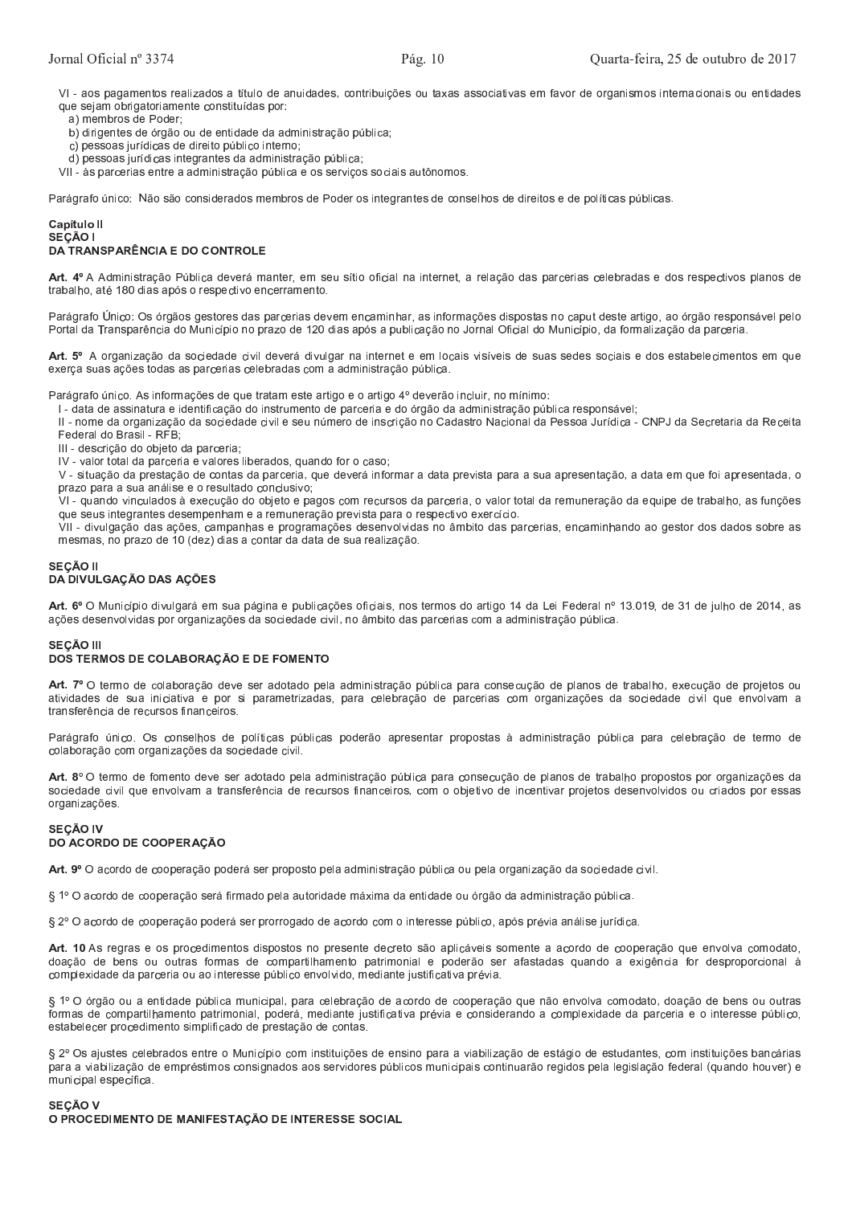VI - aos pagamentos realizados a título de anuidades, contribuições ou taxas associativas em favor de organismos internacionais ou entidades que sejam obrigatoriamente constituídas por:

a) membros de Poder;

b) dirigentes de órgão ou de entidade da administração pública;

c) pessoas jurídicas de direito público interno;

d) pessoas jurídicas integrantes da administração pública;

VII - às parcerias entre a administração pública e os serviços sociais autônomos.

Parágrafo único: Não são considerados membros de Poder os integrantes de conselhos de direitos e de políticas públicas.

#### Capítulo II SEÇÃO I **DA TRANSPARÊNCIA E DO CONTROLE**

Art. 4º A Administração Pública deverá manter, em seu sítio oficial na internet, a relação das parcerias celebradas e dos respectivos planos de trabalho, até 180 dias após o respectivo encerramento.

Parágrafo Único: Os órgãos gestores das parcerias devem encaminhar, as informações dispostas no caput deste artigo, ao órgão responsável pelo Portal da Transparência do Município no prazo de 120 dias após a publicação no Jornal Oficial do Município, da formalização da parceria.

Art. 5º A organização da sociedade civil deverá divulgar na internet e em locais visíveis de suas sedes sociais e dos estabelecimentos em que exerça suas ações todas as parcerias celebradas com a administração pública.

Parágrafo único. As informações de que tratam este artigo e o artigo 4º deverão incluir, no mínimo:

I - data de assinatura e identificação do instrumento de parceria e do órgão da administração pública responsável;

II - nome da organização da sociedade civil e seu número de inscrição no Cadastro Nacional da Pessoa Jurídica - CNPJ da Secretaria da Receita Federal do Brasil - RFB:

III - descrição do objeto da parceria;

IV - valor total da parceria e valores liberados, quando for o caso;

V - situação da prestação de contas da parceria, que deverá informar a data prevista para a sua apresentação, a data em que foi apresentada, o prazo para a sua análise e o resultado conclusivo;

VI - quando vinculados à execução do objeto e pagos com recursos da parceria, o valor total da remuneração da equipe de trabalho, as funções que seus integrantes desempenham e a remuneração prevista para o respectivo exercício.

VII - divulgação das ações, campanhas e programações desenvolvidas no âmbito das parcerias, encaminhando ao gestor dos dados sobre as mesmas, no prazo de 10 (dez) dias a contar da data de sua realização.

# SECÃO II DA DIVULGAÇÃO DAS AÇÕES

Art. 6º O Município divulgará em sua página e publicações oficiais, nos termos do artigo 14 da Lei Federal nº 13.019, de 31 de julho de 2014, as ações desenvolvidas por organizações da sociedade civil, no âmbito das parcerias com a administração pública.

## **SEÇÃO III** DOS TERMOS DE COLABORAÇÃO E DE FOMENTO

Art. 7º O termo de colaboração deve ser adotado pela administração pública para consecução de planos de trabalho, execução de projetos ou atividades de sua iniciativa e por si parametrizadas, para celebração de parcerias com organizações da sociedade civil que envolvam a transferência de recursos financeiros.

Parágrafo único. Os conselhos de políticas públicas poderão apresentar propostas à administração pública para celebração de termo de colaboração com organizações da sociedade civil.

Art. 8º O termo de fomento deve ser adotado pela administração pública para consecução de planos de trabalho propostos por organizações da sociedade civil que envolvam a transferência de recursos financeiros, com o objetivo de incentivar projetos desenvolvidos ou criados por essas organizações.

#### **SEÇÃO IV** DO ACORDO DE COOPERAÇÃO

Art. 9º O acordo de cooperação poderá ser proposto pela administração pública ou pela organização da sociedade civil.

§ 1º O acordo de cooperação será firmado pela autoridade máxima da entidade ou órgão da administração pública.

§ 2º O acordo de cooperação poderá ser prorrogado de acordo com o interesse público, após prévia análise jurídica.

Art. 10 As regras e os procedimentos dispostos no presente decreto são aplicáveis somente a acordo de cooperação que envolva comodato, doação de bens ou outras formas de compartilhamento patrimonial e poderão ser afastadas quando a exigência for desproporcional à complexidade da parceria ou ao interesse público envolvido, mediante justificativa prévia.

§ 1º O órgão ou a entidade pública municipal, para celebração de acordo de cooperação que não envolva comodato, doação de bens ou outras formas de compartilhamento patrimonial, poderá, mediante justificativa prévia e considerando a complexidade da parceria e o interesse público, estabelecer procedimento simplificado de prestação de contas

§ 2º Os ajustes celebrados entre o Município com instituições de ensino para a viabilização de estágio de estudantes, com instituições bancárias para a viabilização de empréstimos consignados aos servidores públicos municipais continuarão regidos pela legislação federal (quando houver) e municipal específica

SECÃO V O PROCEDIMENTO DE MANIFESTAÇÃO DE INTERESSE SOCIAL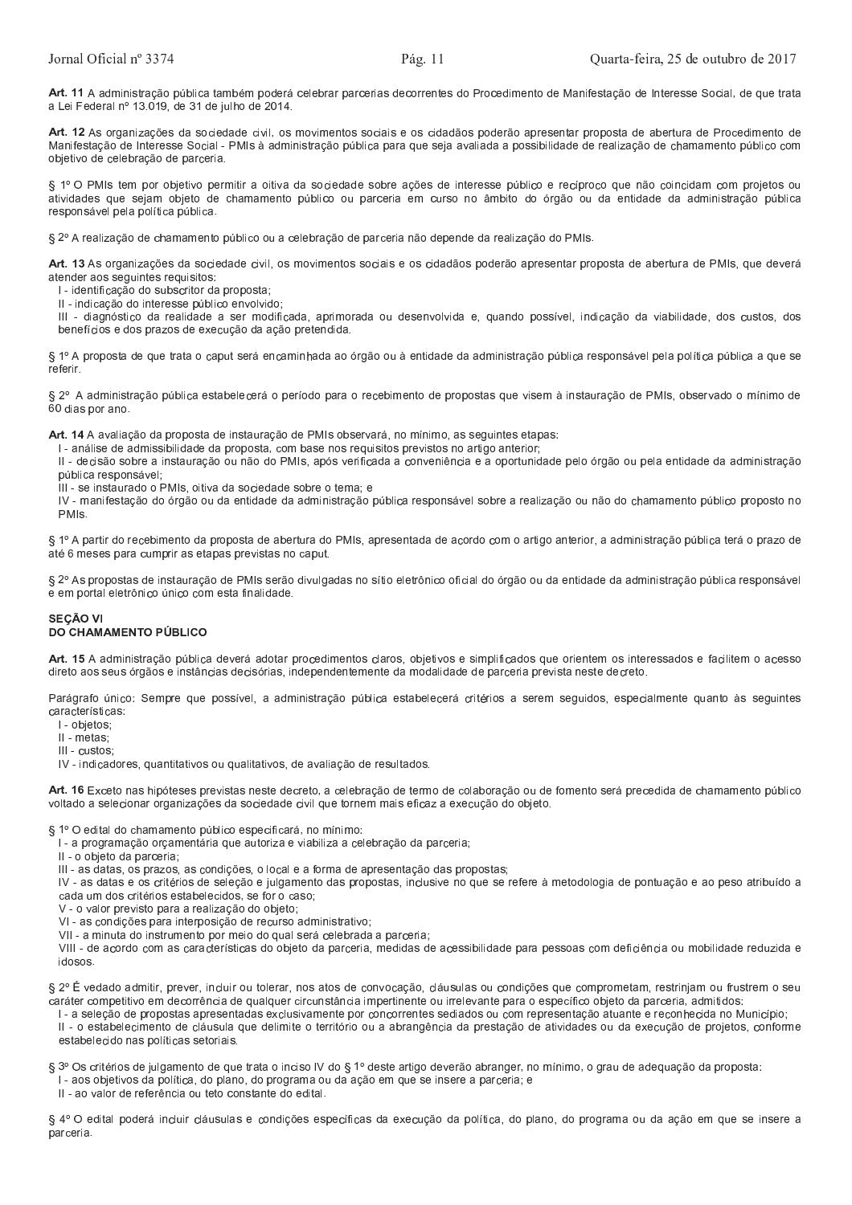Art. 11 A administração pública também poderá celebrar parcerias decorrentes do Procedimento de Manifestação de Interesse Social, de que trata a Lei Federal nº 13.019, de 31 de julho de 2014.

Art. 12 As organizações da sociedade civil, os movimentos sociais e os cidadãos poderão apresentar proposta de abertura de Procedimento de Manifestação de Interesse Social - PMIs à administração pública para que seja avaliada a possibilidade de realização de chamamento público com objetivo de celebração de parceria.

§ 1º O PMIs tem por objetivo permitir a oitiva da sociedade sobre ações de interesse público e recíproco que não coincidam com projetos ou atividades que sejam objeto de chamamento público ou parceria em curso no âmbito do órgão ou da entidade da administração pública responsável pela política pública.

§ 2º A realização de chamamento público ou a celebração de parceria não depende da realização do PMIs.

Art. 13 As organizações da sociedade civil, os movimentos sociais e os cidadãos poderão apresentar proposta de abertura de PMIs, que deverá atender aos seguintes requisitos:

- I identificação do subscritor da proposta;
- II indicação do interesse público envolvido;

III - diagnóstico da realidade a ser modificada, aprimorada ou desenvolvida e, quando possível, indicação da viabilidade, dos custos, dos benefícios e dos prazos de execução da ação pretendida.

§ 1º A proposta de que trata o caput será encaminhada ao órgão ou à entidade da administração pública responsável pela política pública a que se referir.

§ 2º A administração pública estabelecerá o período para o recebimento de propostas que visem à instauração de PMIs, observado o mínimo de 60 dias por ano.

Art. 14 A avaliação da proposta de instauração de PMIs observará, no mínimo, as seguintes etapas;

I - análise de admissibilidade da proposta, com base nos requisitos previstos no artigo anterior;

II - decisão sobre a instauração ou não do PMIs, após verificada a conveniência e a oportunidade pelo órgão ou pela entidade da administração pública responsável;

III - se instaurado o PMIs, oitiva da sociedade sobre o tema; e

IV - manifestação do órgão ou da entidade da administração pública responsável sobre a realização ou não do chamamento público proposto no  $PMIs$ 

§ 1º A partir do recebimento da proposta de abertura do PMIs, apresentada de acordo com o artigo anterior, a administração pública terá o prazo de até 6 meses para cumprir as etapas previstas no caput.

§ 2º As propostas de instauração de PMIs serão divulgadas no sítio eletrônico oficial do órgão ou da entidade da administração pública responsável e em portal eletrônico único com esta finalidade.

## **SECÃO VI** DO CHAMAMENTO PÚBLICO

Art. 15 A administração pública deverá adotar procedimentos claros, objetivos e simplificados que orientem os interessados e facilitem o acesso direto aos seus órgãos e instâncias decisórias, independentemente da modalidade de parceria prevista neste decreto.

Parágrafo único: Sempre que possível, a administração pública estabelecerá critérios a serem seguidos, especialmente quanto às seguintes características:

I - objetos;

II - metas;

III - custos

IV - indicadores, quantitativos ou qualitativos, de avaliação de resultados.

Art. 16 Exceto nas hipóteses previstas neste decreto, a celebração de termo de colaboração ou de fomento será precedida de chamamento público voltado a selecionar organizações da sociedade civil que tornem mais eficaz a execução do objeto.

§ 1º O edital do chamamento público especificará, no mínimo:

l - a programação orçamentária que autoriza e viabiliza a celebração da parceria;

II - o objeto da parceria.

III - as datas, os prazos, as condições, o local e a forma de apresentação das propostas;

IV - as datas e os critérios de seleção e julgamento das propostas, inclusive no que se refere à metodologia de pontuação e ao peso atribuído a cada um dos critérios estabelecidos, se for o caso;

V - o valor previsto para a realização do objeto:

VI - as condições para interposição de recurso administrativo;

VII - a minuta do instrumento por meio do qual será celebrada a parceria;

VIII - de acordo com as características do objeto da parceria, medidas de acessibilidade para pessoas com deficiência ou mobilidade reduzida e idosos

§ 2º É vedado admitir, prever, incluir ou tolerar, nos atos de convocação, cláusulas ou condições que comprometam, restrinjam ou frustrem o seu caráter competitivo em decorrência de qualquer circunstância impertinente ou irrelevante para o específico objeto da parceria, admitidos:

I - a seleção de propostas apresentadas exclusivamente por concorrentes sediados ou com representação atuante e reconhecida no Município; II - o estabelecimento de cláusula que delimite o território ou a abrangência da prestação de atividades ou da execução de projetos, conforme estabelecido nas políticas setoriais.

§ 3º Os critérios de julgamento de que trata o inciso IV do § 1º deste artigo deverão abranger, no mínimo, o grau de adequação da proposta: I - aos objetivos da política, do plano, do programa ou da ação em que se insere a parceria; e

Il - ao valor de referência ou teto constante do edital.

§ 4º O edital poderá incluir cláusulas e condições específicas da execução da política, do plano, do programa ou da ação em que se insere a parceria.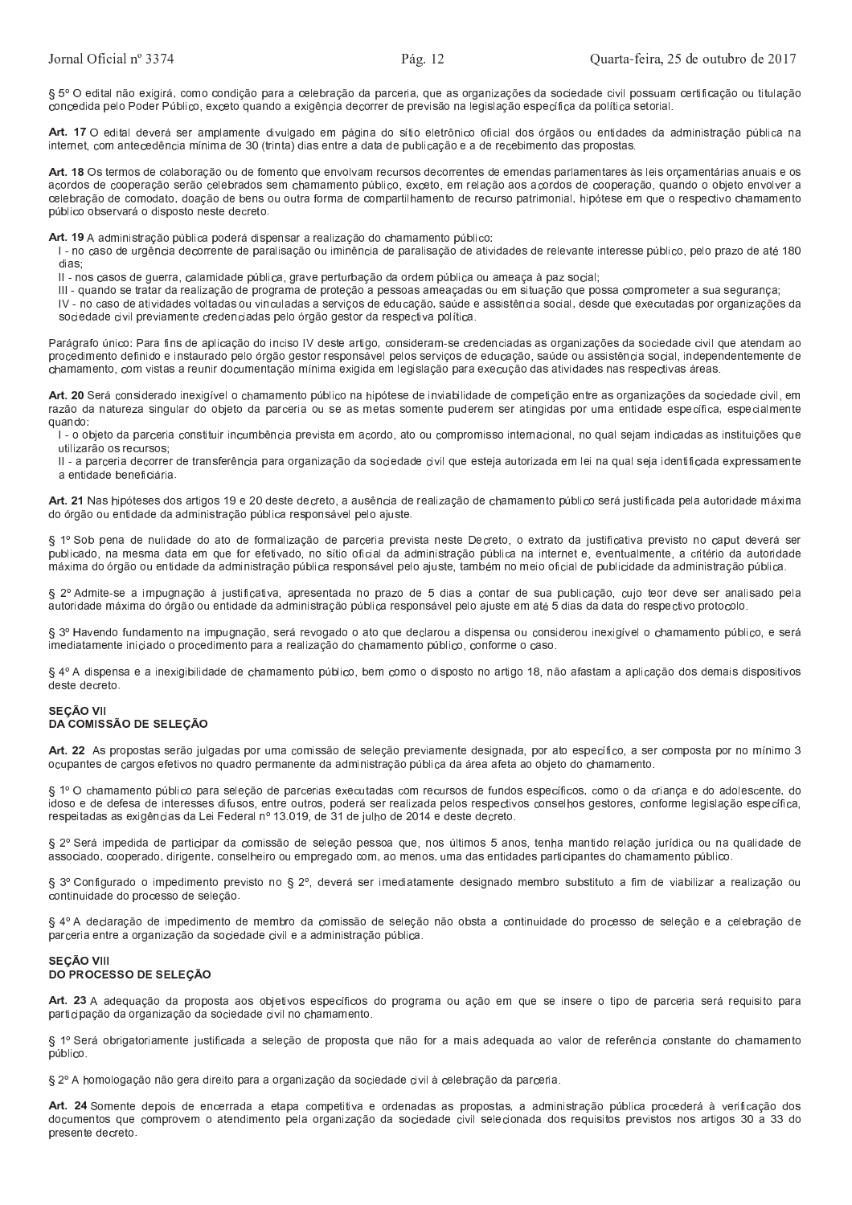§ 5° O edital não exigirá, como condição para a celebração da parceria, que as organizações da sociedade civil possuam certificação ou titulação concedida pelo Poder Público, exceto quando a exigência decorrer de previsão na legislação específica da política setorial.

Art. 17 O edital deverá ser amplamente divulgado em página do sítio eletrônico oficial dos órgãos ou entidades da administração pública na internet, com antecedência mínima de 30 (trinta) dias entre a data de publicação e a de recebimento das propostas.

Art. 18 Os termos de colaboração ou de fomento que envolvam recursos decorrentes de emendas parlamentares às leis orçamentárias anuais e os acordos de cooperação serão celebrados sem chamamento público, exceto, em relação aos acordos de cooperação, quando o objeto envolver a celebração de comodato, doação de bens ou outra forma de compartilhamento de recurso patrimonial, hipótese em que o respectivo chamamento público observará o disposto neste decreto.

Art. 19 A administração pública poderá dispensar a realização do chamamento público:

I - no caso de urgência decorrente de paralisação ou iminência de paralisação de atividades de relevante interesse público, pelo prazo de até 180 dias

II - nos casos de guerra, calamidade pública, grave perturbação da ordem pública ou ameaça à paz social;

III - quando se tratar da realização de programa de proteção a pessoas ameaçadas ou em situação que possa comprometer a sua segurança;

IV - no caso de atividades voltadas ou vinculadas a serviços de educação, saúde e assistência social, desde que executadas por organizações da sociedade civil previamente credenciadas pelo órgão gestor da respectiva política.

Parágrafo único: Para fins de aplicação do inciso IV deste artigo, consideram-se credenciadas as organizações da sociedade civil que atendam ao procedimento definido e instaurado pelo órgão gestor responsável pelos serviços de educação, saúde ou assistência social, independentemente de chamamento, com vistas a reunir documentação mínima exigida em legislação para execução das atividades nas respectivas áreas.

Art. 20 Será considerado inexigível o chamamento público na hipótese de inviabilidade de competição entre as organizações da sociedade civil, em razão da natureza singular do objeto da parceria ou se as metas somente puderem ser atingidas por uma entidade específica, especialmente quando:

I - o objeto da parceria constituir incumbência prevista em acordo, ato ou compromisso internacional, no qual sejam indicadas as instituições que utilizarão os recursos;

II - a parceria decorrer de transferência para organização da sociedade civil que esteja autorizada em lei na qual seja identificada expressamente a entidade beneficiária.

Art. 21 Nas hipóteses dos artigos 19 e 20 deste decreto, a ausência de realização de chamamento público será justificada pela autoridade máxima do órgão ou entidade da administração pública responsável pelo ajuste.

§ 1º Sob pena de nulidade do ato de formalização de parceria prevista neste Decreto, o extrato da justificativa previsto no caput deverá ser publicado, na mesma data em que for efetivado, no sítio oficial da administração pública na internet e, eventualmente, a critério da autoridade máxima do órgão ou entidade da administração pública responsável pelo ajuste, também no meio oficial de publicidade da administração pública.

§ 2º Admite-se a impugnação à justificativa, apresentada no prazo de 5 dias a contar de sua publicação, cujo teor deve ser analisado pela autoridade máxima do órgão ou entidade da administração pública responsável pelo ajuste em até 5 dias da data do respectivo protocolo.

§ 3º Havendo fundamento na impugnação, será revogado o ato que declarou a dispensa ou considerou inexigível o chamamento público, e será imediatamente iniciado o procedimento para a realização do chamamento público, conforme o caso

§ 4º A dispensa e a inexigibilidade de chamamento público, bem como o disposto no artigo 18, não afastam a aplicação dos demais dispositivos deste decreto.

## **SEÇÃO VII** DA COMISSÃO DE SELEÇÃO

Art. 22 As propostas serão julgadas por uma comissão de seleção previamente designada, por ato específico, a ser composta por no mínimo 3 ocupantes de cargos efetivos no quadro permanente da administração pública da área afeta ao objeto do chamamento.

§ 1º O chamamento público para seleção de parcerias executadas com recursos de fundos específicos, como o da criança e do adolescente, do idoso e de defesa de interesses difusos, entre outros, poderá ser realizada pelos respectivos conselhos gestores, conforme legislação específica, respeitadas as exigências da Lei Federal nº 13.019, de 31 de julho de 2014 e deste decreto.

§ 2º Será impedida de participar da comissão de seleção pessoa que, nos últimos 5 anos, tenha mantido relação jurídica ou na qualidade de associado, cooperado, dirigente, conselheiro ou empregado com, ao menos, uma das entidades participantes do chamamento público.

§ 3º Configurado o impedimento previsto no § 2º, deverá ser imediatamente designado membro substituto a fim de viabilizar a realização ou continuidade do processo de seleção.

§ 4º A declaração de impedimento de membro da comissão de seleção não obsta a continuidade do processo de seleção e a celebração de parceria entre a organização da sociedade civil e a administração pública.

### **SECÃO VIII** DO PROCESSO DE SELEÇÃO

Art. 23 A adequação da proposta aos objetivos específicos do programa ou ação em que se insere o tipo de parceria será requisito para participação da organização da sociedade civil no chamamento.

§ 1º Será obrigatoriamente justificada a seleção de proposta que não for a mais adequada ao valor de referência constante do chamamento público.

§ 2º A homologação não gera direito para a organização da sociedade civil à celebração da parceria.

Art. 24 Somente depois de encerrada a etapa competitiva e ordenadas as propostas, a administração pública procederá à verificação dos documentos que comprovem o atendimento pela organização da sociedade civil selecionada dos requisitos previstos nos artigos 30 a 33 do presente decreto.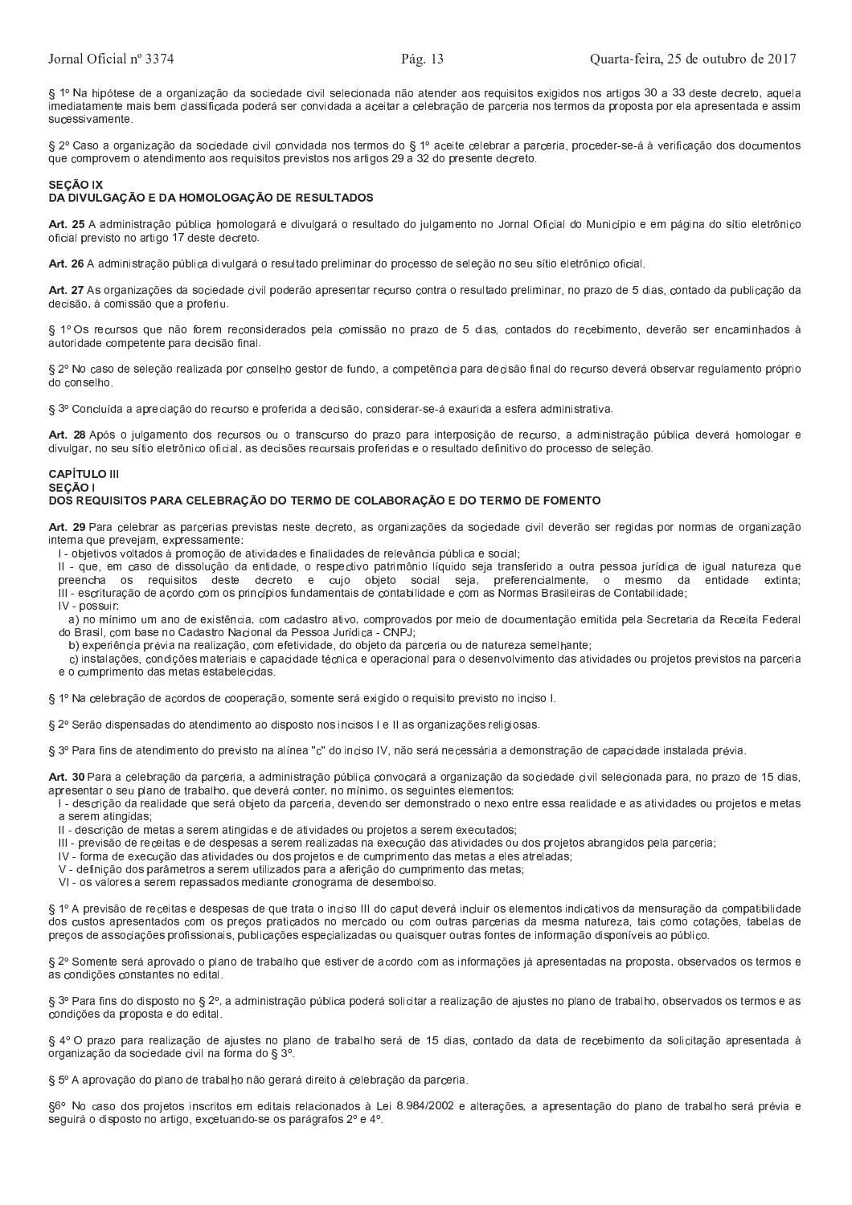§ 1º Na hipótese de a organização da sociedade civil selecionada não atender aos reguisitos exigidos nos artigos 30 a 33 deste decreto, aquela imediatamente mais bem classificada poderá ser convidada a aceitar a celebração de parceria nos termos da proposta por ela apresentada e assim sucessivamente

§ 2º Caso a organização da sociedade civil convidada nos termos do § 1º aceite celebrar a parceria, proceder-se-á à verificação dos documentos que comprovem o atendimento aos requisitos previstos nos artigos 29 a 32 do presente decreto.

# **SECÃO IX**

# DA DIVULGAÇÃO E DA HOMOLOGAÇÃO DE RESULTADOS

Art. 25 A administração pública homologará e divulgará o resultado do julgamento no Jornal Oficial do Município e em página do sítio eletrônico oficial previsto no artigo 17 deste decreto.

Art. 26 A administração pública divulgará o resultado preliminar do processo de seleção no seu sítio eletrônico oficial.

Art. 27 As organizações da sociedade civil poderão apresentar recurso contra o resultado preliminar, no prazo de 5 dias, contado da publicação da decisão, à comissão que a proferiu.

§ 1º Os recursos que não forem reconsiderados pela comissão no prazo de 5 dias, contados do recebimento, deverão ser encaminhados à autoridade competente para decisão final.

§ 2º No caso de seleção realizada por conselho gestor de fundo, a competência para decisão final do recurso deverá observar regulamento próprio do conselho.

§ 3º Concluída a apreciação do recurso e proferida a decisão, considerar-se-á exaurida a esfera administrativa.

Art. 28 Após o julgamento dos recursos ou o transcurso do prazo para interposição de recurso, a administração pública deverá homologar e divulgar, no seu sítio eletrônico oficial, as decisões recursais proferidas e o resultado definitivo do processo de seleção

#### **CAPÍTULO III SECÃO I** DOS REQUISITOS PARA CELEBRAÇÃO DO TERMO DE COLABORAÇÃO E DO TERMO DE FOMENTO

Art. 29 Para celebrar as parcerias previstas neste decreto, as organizações da sociedade civil deverão ser regidas por normas de organização interna que prevejam, expressamente:

I - objetivos voltados à promoção de atividades e finalidades de relevância pública e social;

Il - que, em caso de dissolução da entidade, o respectivo patrimônio líquido seja transferido a outra pessoa jurídica de igual natureza que preencha os requisitos deste decreto e cujo objeto social seja, preferencialmente, o mesmo da entidade extinta: III - escrituração de acordo com os princípios fundamentais de contabilidade e com as Normas Brasileiras de Contabilidade; IV - nossuir:

a) no mínimo um ano de existência, com cadastro ativo, comprovados por meio de documentação emitida pela Secretaria da Receita Federal do Brasil, com base no Cadastro Nacional da Pessoa Jurídica - CNPJ;

b) experiência prévia na realização, com efetividade, do objeto da parceria ou de natureza semelhante;

c) instalações, condições materiais e capacidade técnica e operacional para o desenvolvimento das atividades ou projetos previstos na parceria e o cumprimento das metas estabelecidas

§ 1º Na celebração de acordos de cooperação, somente será exigido o reguisito previsto no inciso l.

§ 2º Serão dispensadas do atendimento ao disposto nos incisos I e II as organizações religiosas.

§ 3º Para fins de atendimento do previsto na alínea "c" do inciso IV, não será necessária a demonstração de capacidade instalada prévia.

Art. 30 Para a celebração da parceria, a administração pública convocará a organização da sociedade civil selecionada para, no prazo de 15 dias, apresentar o seu plano de trabalho, que deverá conter, no mínimo, os seguintes elementos:

I - descrição da realidade que será objeto da parceria, devendo ser demonstrado o nexo entre essa realidade e as atividades ou projetos e metas a serem atingidas:

Il - descrição de metas a serem atingidas e de atividades ou projetos a serem executados;

III - previsão de receitas e de despesas a serem realizadas na execução das atividades ou dos projetos abrangidos pela parceria;

IV - forma de execução das atividades ou dos projetos e de cumprimento das metas a eles atreladas:

V - definição dos parâmetros a serem utilizados para a aferição do cumprimento das metas;

VI - os valores a serem repassados mediante cronograma de desembolso

§ 1º A previsão de receitas e despesas de que trata o inciso III do caput deverá incluir os elementos indicativos da mensuração da compatibilidade dos custos apresentados com os preços praticados no mercado ou com outras parcerias da mesma natureza, tais como cotações, tabelas de preços de associações profissionais, publicações especializadas ou quaisquer outras fontes de informação disponíveis ao público.

§ 2º Somente será aprovado o plano de trabalho que estiver de acordo com as informações já apresentadas na proposta, observados os termos e as condições constantes no edital.

§ 3º Para fins do disposto no § 2º, a administração pública poderá solicitar a realização de ajustes no plano de trabalho, observados os termos e as condições da proposta e do edital.

§ 4º O prazo para realização de ajustes no plano de trabalho será de 15 dias, contado da data de recebimento da solicitação apresentada à organização da sociedade civil na forma do § 3º.

§ 5º A aprovação do plano de trabalho não gerará direito à celebração da parceria.

§6º No caso dos projetos inscritos em editais relacionados à Lei 8.984/2002 e alterações, a apresentação do plano de trabalho será prévia e seguirá o disposto no artigo, excetuando-se os parágrafos 2º e 4º.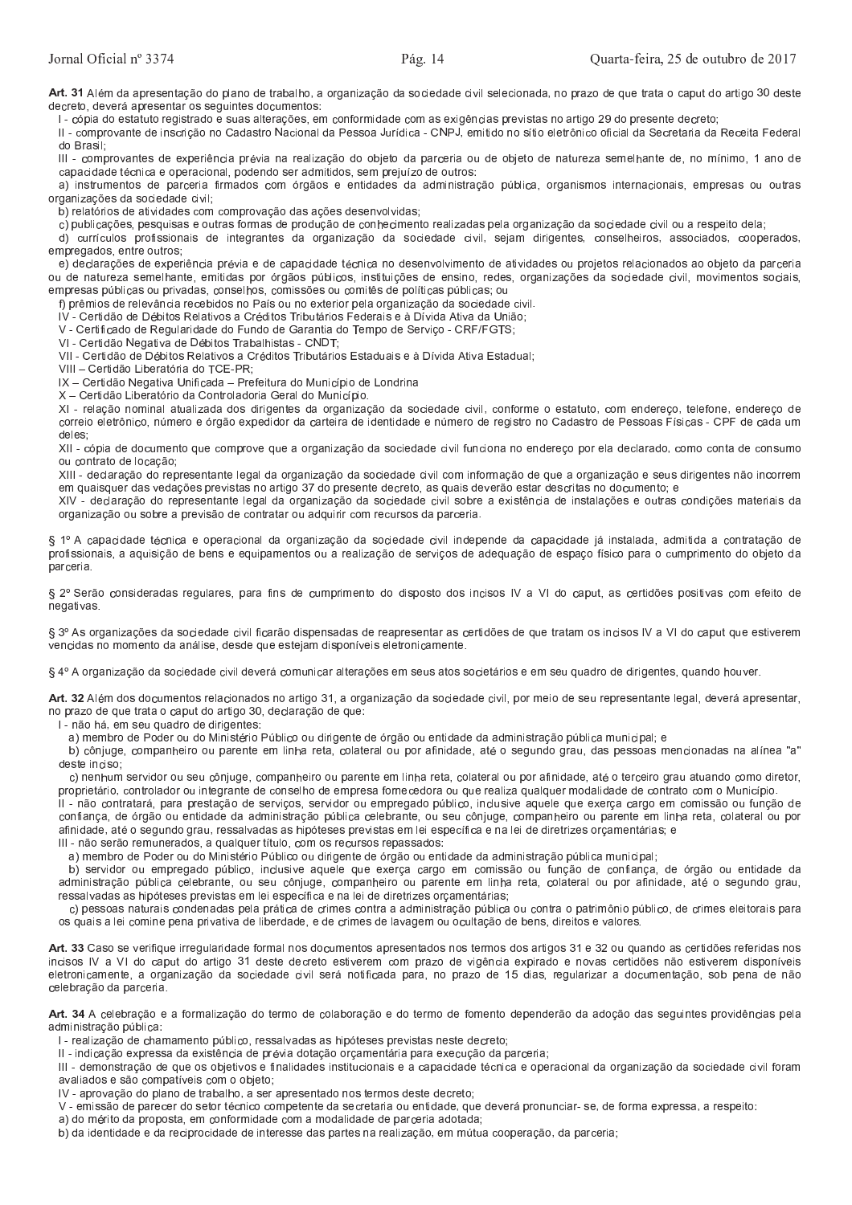Art. 31 Além da apresentação do plano de trabalho, a organização da sociedade civil selecionada, no prazo de que trata o caput do artigo 30 deste decreto, deverá apresentar os seguintes documentos:

I - cópia do estatuto registrado e suas alterações, em conformidade com as exigências previstas no artigo 29 do presente decreto;

II - comprovante de inscrição no Cadastro Nacional da Pessoa Jurídica - CNPJ, emitido no sítio eletrônico oficial da Secretaria da Receita Federal do Brasil.

III - comprovantes de experiência prévia na realização do objeto da parceria ou de objeto de natureza semelhante de, no mínimo, 1 ano de capacidade técnica e operacional, podendo ser admitidos, sem prejuízo de outros:

a) instrumentos de parceria firmados com órgãos e entidades da administração pública, organismos internacionais, empresas ou outras organizações da sociedade civil:

b) relatórios de atividades com comprovação das ações desenvolvidas;

c) publicações, pesquisas e outras formas de produção de conhecimento realizadas pela organização da sociedade civil ou a respeito dela;

d) currículos profissionais de integrantes da organização da sociedade civil, sejam dirigentes, conselheiros, associados, cooperados, empregados entre outros

e) declarações de experiência prévia e de capacidade técnica no desenvolvimento de atividades ou projetos relacionados ao objeto da parceria ou de natureza semelhante, emitidas por órgãos públicos, instituições de ensino, redes, organizações da sociedade civil, movimentos sociais, empresas públicas ou privadas, conselhos, comissões ou comitês de políticas públicas; ou

f) prêmios de relevância recebidos no País ou no exterior pela organização da sociedade civil.

IV - Certidão de Débitos Relativos a Créditos Tributários Federais e à Dívida Ativa da União;

V - Certificado de Regularidade do Fundo de Garantia do Tempo de Serviço - CRF/FGTS;

VI - Certidão Negativa de Débitos Trabalhistas - CNDT:

VII - Certidão de Débitos Relativos a Créditos Tributários Estaduais e à Dívida Ativa Estadual;

VIII - Certidão Liberatória do TCE-PR;

IX - Certidão Negativa Unificada - Prefeitura do Município de Londrina

X - Certidão Liberatório da Controladoria Geral do Município.

XI - relação nominal atualizada dos dirigentes da organização da sociedade civil, conforme o estatuto, com endereço, telefone, endereço de correio eletrônico, número e órgão expedidor da carteira de identidade e número de registro no Cadastro de Pessoas Físicas - CPF de cada um deles.

XII - cópia de documento que comprove que a organização da sociedade civil funciona no endereço por ela declarado, como conta de consumo ou contrato de locação;

XIII - declaração do representante legal da organização da sociedade civil com informação de que a organização e seus dirigentes não incorrem em quaisquer das vedações previstas no artigo 37 do presente decreto, as quais deverão estar descritas no documento; e

XIV - declaração do representante legal da organização da sociedade civil sobre a existência de instalações e outras condições materiais da organização ou sobre a previsão de contratar ou adquirir com recursos da parceria.

§ 1º A capacidade técnica e operacional da organização da sociedade civil independe da capacidade já instalada, admitida a contratação de profissionais, a aquisição de bens e equipamentos ou a realização de serviços de adequação de espaço físico para o cumprimento do objeto da parceria.

§ 2º Serão consideradas regulares, para fins de cumprimento do disposto dos incisos IV a VI do caput, as certidões positivas com efeito de negativas.

§ 3º As organizações da sociedade civil ficarão dispensadas de reapresentar as certidões de que tratam os incisos IV a VI do caput que estiverem vencidas no momento da análise, desde que estejam disponíveis eletronicamente.

§ 4º A organização da sociedade civil deverá comunicar alterações em seus atos societários e em seu quadro de dirigentes, quando houver.

Art. 32 Além dos documentos relacionados no artigo 31, a organização da sociedade civil, por meio de seu representante legal, deverá apresentar, no prazo de que trata o caput do artigo 30, declaração de que:

I - não há, em seu quadro de dirigentes:

a) membro de Poder ou do Ministério Público ou dirigente de órgão ou entidade da administração pública municipal; e

b) cônjuge, companheiro ou parente em linha reta, colateral ou por afinidade, até o segundo grau, das pessoas mencionadas na alínea "a" deste inciso:

c) nenhum servidor ou seu cônjuge, companheiro ou parente em linha reta, colateral ou por afinidade, até o terceiro grau atuando como diretor, proprietário, controlador ou integrante de conselho de empresa fornecedora ou que realiza qualquer modalidade de contrato com o Município.

II - não contratará, para prestação de servicos, servidor ou empregado público, inclusive aquele que exerca cargo em comissão ou função de confiança, de órgão ou entidade da administração pública celebrante, ou seu cônjuge, companheiro ou parente em linha reta, colateral ou por afinidade, até o segundo grau, ressalvadas as hipóteses previstas em lei específica e na lei de diretrizes orçamentárias; e

III - não serão remunerados, a qualquer título, com os recursos repassados

a) membro de Poder ou do Ministério Público ou dirigente de órgão ou entidade da administração pública municipal:

b) servidor ou empregado público, inclusive aquele que exerça cargo em comissão ou função de confiança, de órgão ou entidade da administração pública celebrante, ou seu cônjuge, companheiro ou parente em linha reta, colateral ou por afinidade, até o segundo grau, ressalvadas as hipóteses previstas em lei específica e na lei de diretrizes orçamentárias;

c) pessoas naturais condenadas pela prática de crimes contra a administração pública ou contra o patrimônio público, de crimes eleitorais para os quais a lei comine pena privativa de liberdade, e de crimes de lavagem ou ocultação de bens, direitos e valores.

Art. 33 Caso se verifique irregularidade formal nos documentos apresentados nos termos dos artigos 31 e 32 ou quando as certidões referidas nos incisos IV a VI do caput do artigo 31 deste decreto estiverem com prazo de vigência expirado e novas certidões não estiverem disponíveis eletronicamente, a organização da sociedade civil será notificada para, no prazo de 15 dias, regularizar a documentação, sob pena de não celebração da parceria.

Art. 34 A celebração e a formalização do termo de colaboração e do termo de fomento dependerão da adoção das seguintes providências pela administração pública:

I - realização de chamamento público, ressalvadas as hipóteses previstas neste decreto;

II - indicação expressa da existência de prévia dotação orçamentária para execução da parceria;

III - demonstração de que os objetivos e finalidades institucionais e a capacidade técnica e operacional da organização da sociedade civil foram avaliados e são compatíveis com o objeto;

IV - aprovação do plano de trabalho, a ser apresentado nos termos deste decreto:

V - emissão de parecer do setor técnico competente da secretaria ou entidade, que deverá pronunciar- se, de forma expressa, a respeito:

a) do mérito da proposta, em conformidade com a modalidade de parceria adotada;

b) da identidade e da reciprocidade de interesse das partes na realização, em mútua cooperação, da parceria;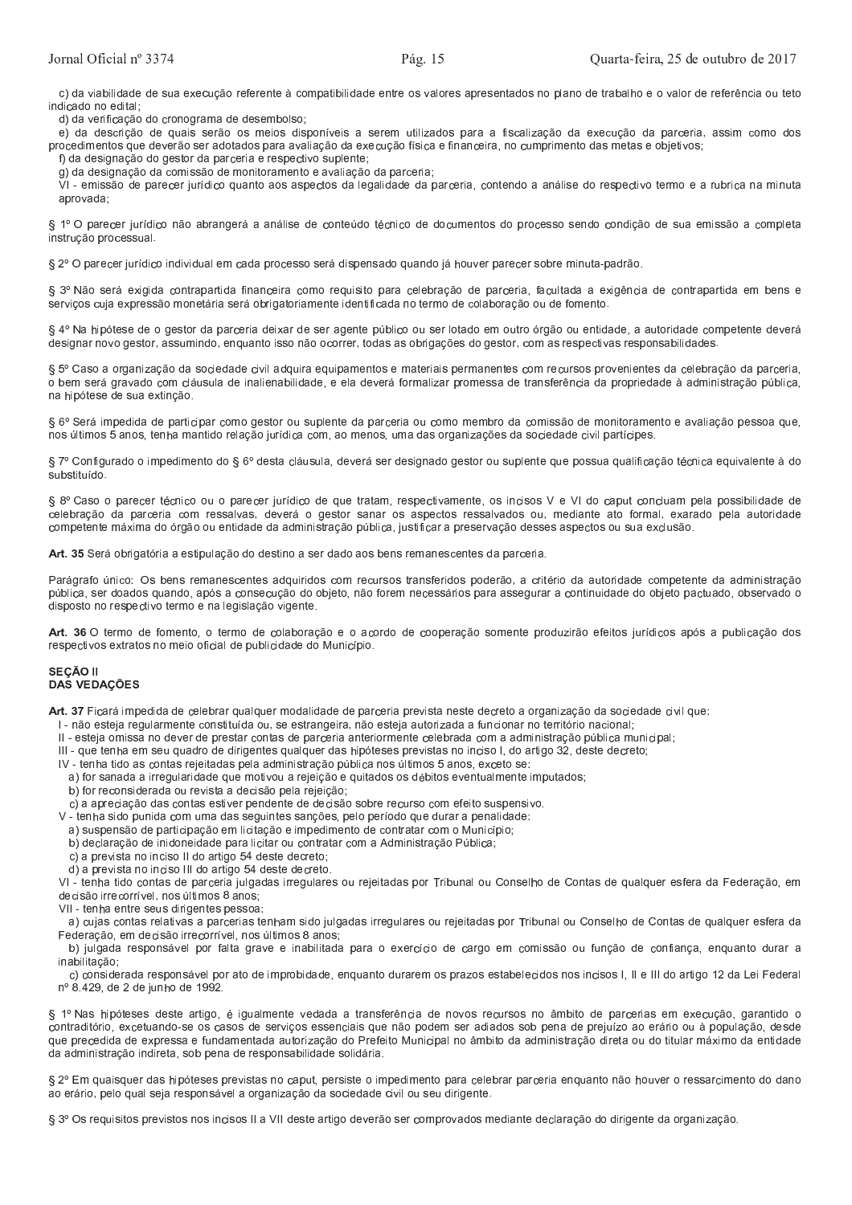c) da viabilidade de sua execução referente à compatibilidade entre os valores apresentados no plano de trabalho e o valor de referência ou teto indicado no edital;

d) da verificação do cronograma de desembolso;

e) da descrição de quais serão os meios disponíveis a serem utilizados para a fiscalização da execução da parceria, assim como dos procedimentos que deverão ser adotados para avaliação da execução física e financeira, no cumprimento das metas e objetivos;

f) da designação do gestor da parceria e respectivo suplente;

g) da designação da comissão de monitoramento e avaliação da parceria;

.<br>VI - emissão de parecer jurídico quanto aos aspectos da legalidade da parceria, contendo a análise do respectivo termo e a rubrica na minuta aprovada:

§ 1º O parecer jurídico não abrangerá a análise de conteúdo técnico de documentos do processo sendo condição de sua emissão a completa instrução processual.

§ 2º O parecer jurídico individual em cada processo será dispensado quando já houver parecer sobre minuta-padrão

§ 3º Não será exigida contrapartida financeira como requisito para celebração de parceria, facultada a exigência de contrapartida em bens e serviços cuja expressão monetária será obrigatoriamente identificada no termo de colaboração ou de fomento.

§ 4º Na hipótese de o gestor da parceria deixar de ser agente público ou ser lotado em outro órgão ou entidade, a autoridade competente deverá designar novo gestor, assumindo, enquanto isso não ocorrer, todas as obrigações do gestor, com as respectivas responsabilidades.

§ 5º Caso a organização da sociedade civil adquira equipamentos e materiais permanentes com recursos provenientes da celebração da parceria, o bem será gravado com cláusula de inalienabilidade, e ela deverá formalizar promessa de transferência da propriedade à administração pública, na hipótese de sua extinção.

§ 6º Será impedida de participar como gestor ou suplente da parceria ou como membro da comissão de monitoramento e avaliação pessoa que, nos últimos 5 anos, tenha mantido relação jurídica com, ao menos, uma das organizações da sociedade civil partícipes.

§ 7º Configurado o impedimento do § 6º desta cláusula, deverá ser designado gestor ou suplente que possua qualificação técnica equivalente à do substituído.

§ 8º Caso o parecer técnico ou o parecer jurídico de que tratam, respectivamente, os incisos V e VI do caput concluam pela possibilidade de celebração da parceria com ressalvas, deverá o gestor sanar os aspectos ressalvados ou, mediante ato formal, exarado pela autoridade competente máxima do órgão ou entidade da administração pública, justificar a preservação desses aspectos ou sua exclusão.

Art. 35 Será obrigatória a estipulação do destino a ser dado aos bens remanescentes da parceria.

Parágrafo único: Os bens remanescentes adquiridos com recursos transferidos poderão, a critério da autoridade competente da administração pública, ser doados quando, após a consecução do objeto, não forem necessários para assegurar a continuidade do objeto pactuado, observado o disposto no respectivo termo e na legislação vigente.

Art. 36 O termo de fomento, o termo de colaboração e o acordo de cooperação somente produzirão efeitos jurídicos após a publicação dos respectivos extratos no meio oficial de publicidade do Município.

## **SECÃO II DAS VEDAÇÕES**

Art. 37 Ficará impedida de celebrar qualquer modalidade de parceria prevista neste decreto a organização da sociedade civil que:

l - não esteja regularmente constituída ou, se estrangeira, não esteja autorizada a funcionar no território nacional;

- II esteja omissa no dever de prestar contas de parceria anteriormente celebrada com a administração pública municipal;
- III que tenha em seu quadro de dirigentes qualquer das hipóteses previstas no inciso I, do artigo 32, deste decreto;

IV - tenha tido as contas rejeitadas pela administração pública nos últimos 5 anos, exceto se:

- a) for sanada a irregularidade que motivou a rejeição e quitados os débitos eventualmente imputados;
- b) for reconsiderada ou revista a decisão pela rejeição,
- c) a apreciação das contas estiver pendente de decisão sobre recurso com efeito suspensivo.

V - tenha sido punida com uma das seguintes sanções, pelo período que durar a penalidade:

- a) suspensão de participação em licitação e impedimento de contratar com o Município;
- b) declaração de inidoneidade para licitar ou contratar com a Administração Pública;
- c) a prevista no inciso II do artigo 54 deste decreto;
- d) a prevista no inciso III do artigo 54 deste decreto.

VI - tenha tido contas de parceria julgadas irregulares ou rejeitadas por Tribunal ou Conselho de Contas de qualquer esfera da Federação, em decisão irrecorrível, nos últimos 8 anos;

- VII tenha entre seus dirigentes pessoa.
- a) cujas contas relativas a parcerias tenham sido julgadas irregulares ou rejeitadas por Tribunal ou Conselho de Contas de qualquer esfera da Federação, em decisão irrecorrível, nos últimos 8 anos.

b) julgada responsável por falta grave e inabilitada para o exercício de cargo em comissão ou função de confiança, enguanto durar a inabilitação:

c) considerada responsável por ato de improbidade, enquanto durarem os prazos estabelecidos nos incisos I, II e III do artigo 12 da Lei Federal nº 8.429, de 2 de junho de 1992.

§ 1º Nas hipóteses deste artigo, é igualmente vedada a transferência de novos recursos no âmbito de parcerias em execução, garantido o contraditório, excetuando-se os casos de serviços essenciais que não podem ser adiados sob pena de prejuízo ao erário ou à população, desde que precedida de expressa e fundamentada autorização do Prefeito Municipal no âmbito da administração direta ou do titular máximo da entidade da administração indireta, sob pena de responsabilidade solidária.

§ 2º Em quaisquer das hipóteses previstas no caput, persiste o impedimento para celebrar parceria enquanto não houver o ressarcimento do dano ao erário, pelo qual seja responsável a organização da sociedade civil ou seu dirigente.

§ 3º Os requisitos previstos nos incisos II a VII deste artigo deverão ser comprovados mediante declaração do dirigente da organização.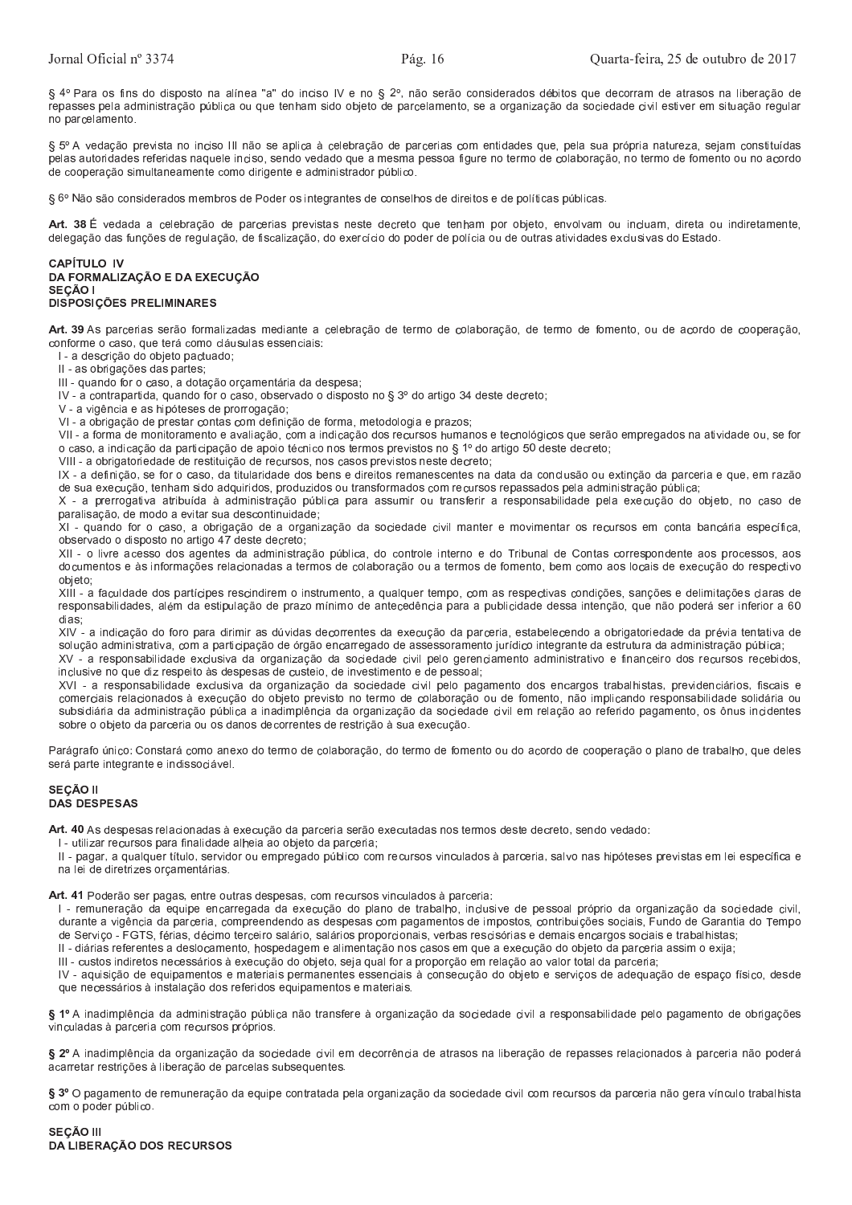§ 4º Para os fins do disposto na alínea "a" do inciso IV e no § 2º, não serão considerados débitos que decorram de atrasos na liberação de repasses pela administração pública ou que tenham sido objeto de parcelamento, se a organização da sociedade civil estiver em situação regular no parcelamento.

§ 5º A vedação prevista no inciso III não se aplica à celebração de parcerias com entidades que, pela sua própria natureza, sejam constituídas pelas autoridades referidas naquele inciso, sendo vedado que a mesma pessoa figure no termo de colaboração, no termo de fomento ou no acordo de cooperação simultaneamente como dirigente e administrador público.

§ 6º Não são considerados membros de Poder os integrantes de conselhos de direitos e de políticas públicas.

Art. 38 É vedada a celebração de parcerias previstas neste decreto que tenham por objeto, envolvam ou incluam, direta ou indiretamente, delegação das funções de regulação, de fiscalização, do exercício do poder de polícia ou de outras atividades exclusivas do Estado.

#### **CAPÍTULO IV** DA FORMALIZAÇÃO E DA EXECUÇÃO SEÇÃO I **DISPOSIÇÕES PRELIMINARES**

Art. 39 As parcerias serão formalizadas mediante a celebração de termo de colaboração, de termo de fomento, ou de acordo de cooperação, conforme o caso, que terá como cláusulas essenciais:

I - a descrição do objeto pactuado;

II - as obrigações das partes;

III - quando for o caso, a dotação orçamentária da despesa;

IV - a contrapartida, quando for o caso, observado o disposto no § 3º do artigo 34 deste decreto;

V - a vigência e as hipóteses de prorrogação;

VI - a obrigação de prestar contas com definição de forma, metodologia e prazos;

VII - a forma de monitoramento e avaliação, com a indicação dos recursos humanos e tecnológicos que serão empregados na atividade ou, se for o caso, a indicação da participação de apoio técnico nos termos previstos no § 1º do artigo 50 deste decreto;

VIII - a obrigatoriedade de restituição de recursos, nos casos previstos neste decreto;

IX - a definição, se for o caso, da titularidade dos bens e direitos remanescentes na data da conclusão ou extinção da parceria e que, em razão de sua execução, tenham sido adquiridos, produzidos ou transformados com recursos repassados pela administração pública;

X - a prerrogativa atribuída à administração pública para assumir ou transferir a responsabilidade pela execução do objeto, no caso de paralisação, de modo a evitar sua descontinuidade;

XI - quando for o caso, a obrigação de a organização da sociedade civil manter e movimentar os recursos em conta bancária específica, observado o disposto no artigo 47 deste decreto;

XII - o livre acesso dos agentes da administração pública, do controle interno e do Tribunal de Contas correspondente aos processos, aos documentos e às informações relacionadas a termos de colaboração ou a termos de fomento, bem como aos locais de execução do respectivo objeto,

XIII - a faculdade dos partícipes rescindirem o instrumento, a qualquer tempo, com as respectivas condições, sanções e delimitações claras de responsabilidades, além da estipulação de prazo mínimo de antecedência para a publicidade dessa intenção, que não poderá ser inferior a 60 dias

XIV - a indicação do foro para dirimir as dúvidas decorrentes da execução da parceria, estabelecendo a obrigatoriedade da prévia tentativa de solução administrativa, com a participação de órgão encarregado de assessoramento jurídico integrante da estrutura da administração pública;

XV - a responsabilidade exclusiva da organização da sociedade civil pelo gerenciamento administrativo e financeiro dos recursos recebidos, inclusive no que diz respeito às despesas de custeio, de investimento e de pessoal;

XVI - a responsabilidade exclusiva da organização da sociedade civil pelo pagamento dos encargos trabalhistas, previdenciários, fiscais e comerciais relacionados à execução do objeto previsto no termo de colaboração ou de fomento, não implicando responsabilidade solidária ou subsidiária da administração pública a inadimplência da organização da sociedade civil em relação ao referido pagamento, os ônus incidentes sobre o objeto da parceria ou os danos decorrentes de restrição à sua execução.

Parágrafo único: Constará como anexo do termo de colaboração, do termo de fomento ou do acordo de cooperação o plano de trabalho, que deles será parte integrante e indissociável.

## SEÇÃO II **DAS DESPESAS**

Art. 40 As despesas relacionadas à execução da parceria serão executadas nos termos deste decreto, sendo vedado:

I - utilizar recursos para finalidade alheia ao objeto da parceria;

II - pagar, a qualquer título, servidor ou empregado público com recursos vinculados à parceria, salvo nas hipóteses previstas em lei específica e na lei de diretrizes orçamentárias.

Art. 41 Poderão ser pagas, entre outras despesas, com recursos vinculados à parceria:

I - remuneração da equipe encarregada da execução do plano de trabalho, inclusive de pessoal próprio da organização da sociedade civil, durante a vigência da parceria, compreendendo as despesas com pagamentos de impostos, contribuições sociais, Fundo de Garantia do Tempo de Serviço - FGTS, férias, décimo terceiro salário, salários proporcionais, verbas rescisórias e demais encargos sociais e trabalhistas;

II - diárias referentes a deslocamento, hospedagem e alimentação nos casos em que a execução do objeto da parceria assim o exija;

III - custos indiretos necessários à execução do objeto, seja qual for a proporção em relação ao valor total da parceria;

IV - aquisição de equipamentos e materiais permanentes essenciais à consecução do objeto e serviços de adequação de espaço físico, desde que necessários à instalação dos referidos equipamentos e materiais.

§ 1º A inadimplência da administração pública não transfere à organização da sociedade civil a responsabilidade pelo pagamento de obrigações vinculadas à parceria com recursos próprios.

§ 2º A inadimplência da organização da sociedade civil em decorrência de atrasos na liberação de repasses relacionados à parceria não poderá acarretar restrições à liberação de parcelas subsequentes.

§ 3º O pagamento de remuneração da equipe contratada pela organização da sociedade civil com recursos da parceria não gera vínculo trabalhista com o poder público.

# **SEÇÃO III** DA LIBERAÇÃO DOS RECURSOS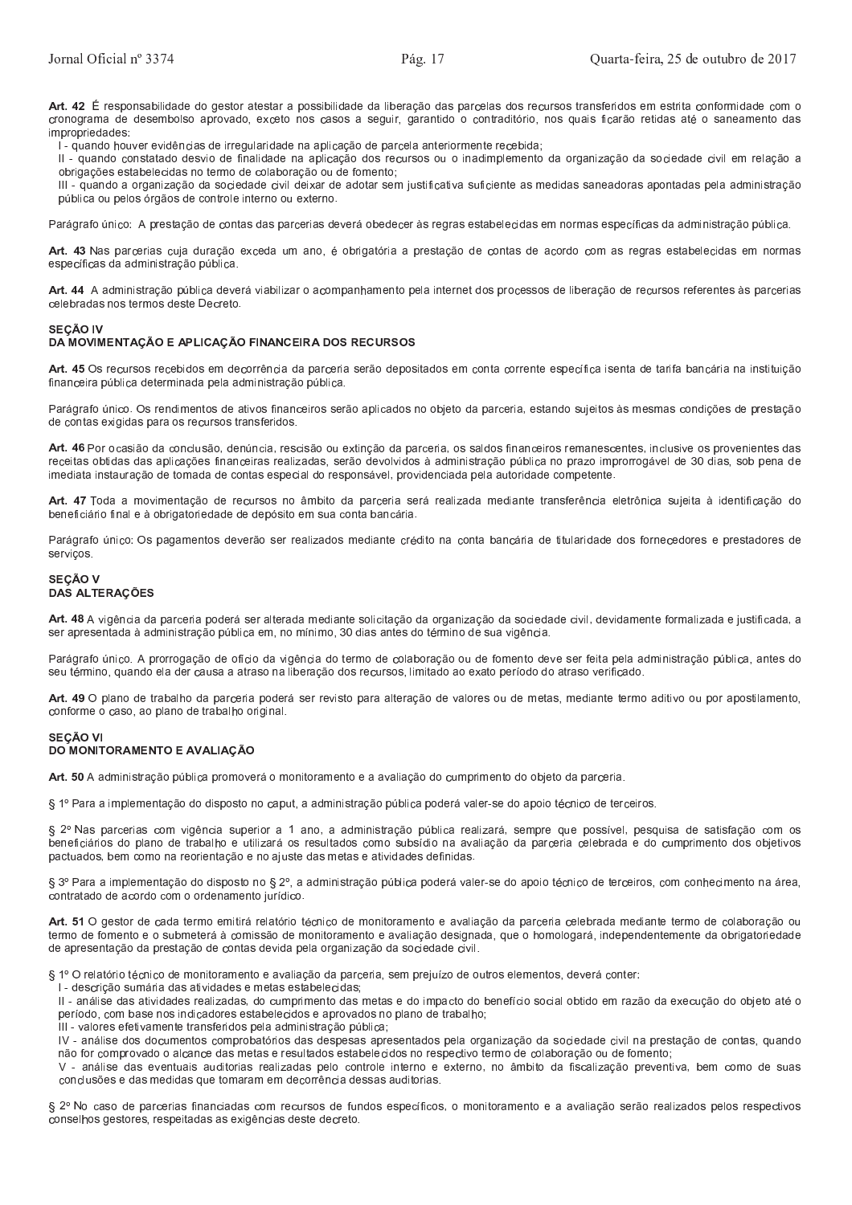Art. 42 É responsabilidade do gestor atestar a possibilidade da liberação das parcelas dos recursos transferidos em estrita conformidade com o cronograma de desembolso aprovado, exceto nos casos a seguir, garantido o contraditório, nos quais ficarão retidas até o saneamento das impropriedades:

l - quando houver evidências de irregularidade na aplicação de parcela anteriormente recebida;

Il - quando constatado desvio de finalidade na aplicação dos recursos ou o inadimplemento da organização da sociedade civil em relação a obrigações estabelecidas no termo de colaboração ou de fomento;

III - quando a organização da sociedade civil deixar de adotar sem iustificativa suficiente as medidas saneadoras apontadas pela administração pública ou pelos órgãos de controle interno ou externo.

Parágrafo único: A prestação de contas das parcerias deverá obedecer às regras estabelecidas em normas específicas da administração pública.

Art. 43 Nas parcerias cuja duração exceda um ano, é obrigatória a prestação de contas de acordo com as regras estabelecidas em normas específicas da administração pública.

Art. 44 A administração pública deverá viabilizar o acompanhamento pela internet dos processos de liberação de recursos referentes às parcerias celebradas nos termos deste Decreto

#### **SECÃO IV**

# DA MOVIMENTAÇÃO E APLICAÇÃO FINANCEIRA DOS RECURSOS

Art. 45 Os recursos recebidos em decorrência da parceria serão depositados em conta corrente específica isenta de tarifa bancária na instituição financeira pública determinada pela administração pública.

Parágrafo único. Os rendimentos de ativos financeiros serão aplicados no objeto da parceria, estando sujeitos às mesmas condições de prestação de contas exigidas para os recursos transferidos.

Art. 46 Por ocasião da conclusão, denúncia, rescisão ou extinção da parceria, os saldos financeiros remanescentes, inclusive os provenientes das receitas obtidas das aplicações financeiras realizadas, serão devolvidos à administração pública no prazo improrrogável de 30 dias, sob pena de imediata instauração de tomada de contas especial do responsável, providenciada pela autoridade competente.

Art. 47 Toda a movimentação de recursos no âmbito da parceria será realizada mediante transferência eletrônica sujeita à identificação do beneficiário final e à obrigatoriedade de depósito em sua conta bancária.

Parágrafo único: Os pagamentos deverão ser realizados mediante crédito na conta bancária de titularidade dos fornecedores e prestadores de serviços.

#### **SECÃO V DAS ALTERAÇÕES**

Art. 48 A vigência da parceria poderá ser alterada mediante solicitação da organização da sociedade civil, devidamente formalizada e justificada, a ser apresentada à administração pública em, no mínimo, 30 dias antes do término de sua vigência

Parágrafo único. A prorrogação de ofício da vigência do termo de colaboração ou de fomento deve ser feita pela administração pública, antes do seu término, quando ela der causa a atraso na liberação dos recursos, limitado ao exato período do atraso verificado.

Art. 49 O plano de trabalho da parceria poderá ser revisto para alteração de valores ou de metas, mediante termo aditivo ou por apostilamento, conforme o caso, ao plano de trabalho original.

#### **SECÃO VI** DO MONITORAMENTO E AVALIAÇÃO

Art. 50 A administração pública promoverá o monitoramento e a avaliação do cumprimento do objeto da parceria.

§ 1º Para a implementação do disposto no caput, a administração pública poderá valer-se do apoio técnico de terceiros.

§ 2º Nas parcerias com vigência superior a 1 ano, a administração pública realizará, sempre que possível, pesquisa de satisfação com os beneficiários do plano de trabalho e utilizará os resultados como subsídio na avaliação da parceria celebrada e do cumprimento dos objetivos pactuados, bem como na reorientação e no aiuste das metas e atividades definidas.

§ 3º Para a implementação do disposto no § 2º, a administração pública poderá valer-se do apoio técnico de terceiros, com conhecimento na área, contratado de acordo com o ordenamento jurídico.

Art. 51 O gestor de cada termo emitirá relatório técnico de monitoramento e avaliação da parceria celebrada mediante termo de colaboração ou termo de fomento e o submeterá à comissão de monitoramento e avaliação designada, que o homologará, independentemente da obrigatoriedade de apresentação da prestação de contas devida pela organização da sociedade civil.

§ 1º O relatório técnico de monitoramento e avaliação da parceria, sem prejuízo de outros elementos, deverá conter:

I - descrição sumária das atividades e metas estabelecidas;

II - análise das atividades realizadas, do cumprimento das metas e do impacto do benefício social obtido em razão da execução do objeto até o período, com base nos indicadores estabelecidos e aprovados no plano de trabalho;

III - valores efetivamente transferidos pela administração pública;

IV - análise dos documentos comprobatórios das despesas apresentados pela organização da sociedade civil na prestação de contas, quando não for comprovado o alcance das metas e resultados estabelecidos no respectivo termo de colaboração ou de fomento;

V - análise das eventuais auditorias realizadas pelo controle interno e externo, no âmbito da fiscalização preventiva, bem como de suas conclusões e das medidas que tomaram em decorrência dessas auditorias.

§ 2º No caso de parcerias financiadas com recursos de fundos específicos, o monitoramento e a avaliação serão realizados pelos respectivos conselhos gestores, respeitadas as exigências deste decreto.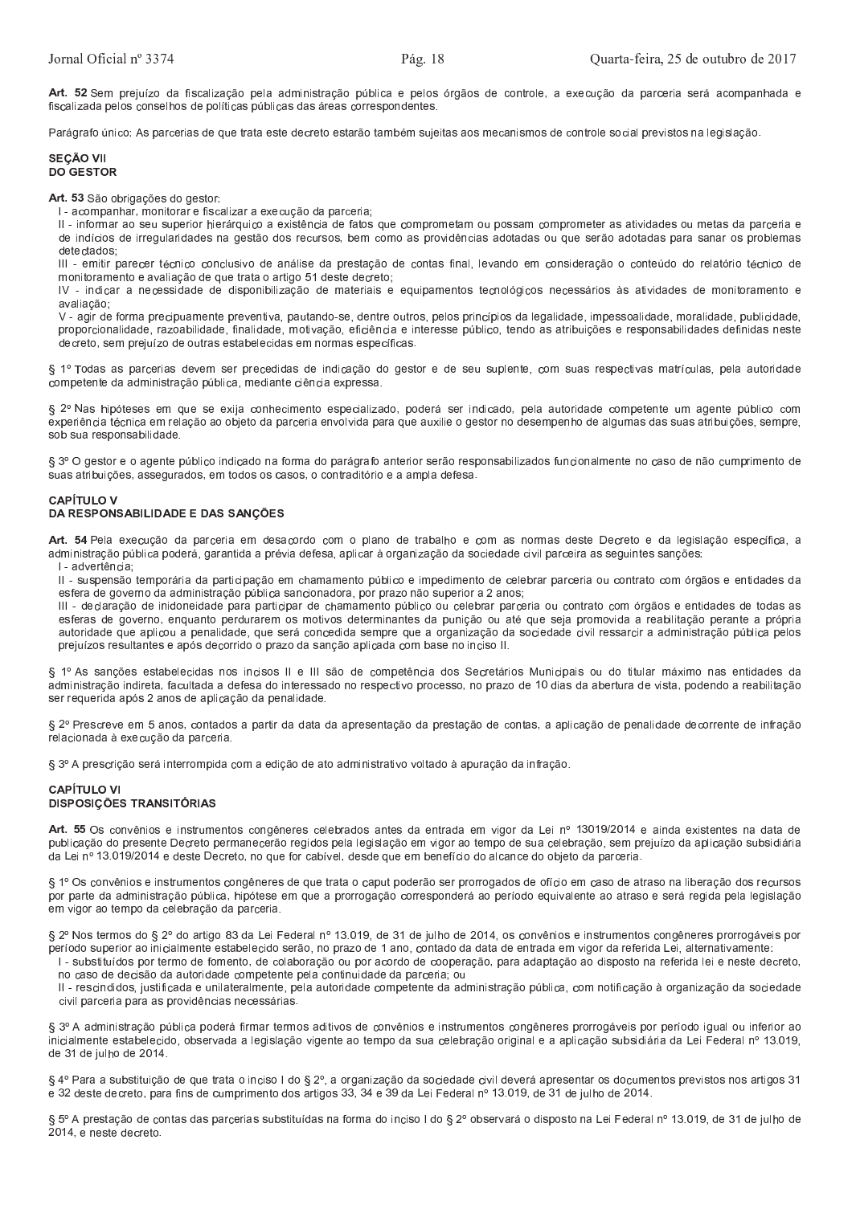Art. 52 Sem prejuízo da fiscalização pela administração pública e pelos órgãos de controle, a execução da parceria será acompanhada e fiscalizada pelos conselhos de políticas públicas das áreas correspondentes.

Parágrafo único: As parcerias de que trata este decreto estarão também sujeitas aos mecanismos de controle social previstos na legislação.

## SECÃO VII **DO GESTOR**

Art. 53 São obrigações do gestor:

I - acompanhar, monitorar e fiscalizar a execução da parceria;

Il - informar ao seu superior hierárquico a existência de fatos que comprometam ou possam comprometer as atividades ou metas da parceria e de indícios de irregularidades na gestão dos recursos, bem como as providências adotadas ou que serão adotadas para sanar os problemas detectados

III - emitir parecer técnico conclusivo de análise da prestação de contas final, levando em consideração o conteúdo do relatório técnico de monitoramento e avaliação de que trata o artigo 51 deste decreto;

IV - indicar a necessidade de disponibilização de materiais e equipamentos tecnológicos necessários às atividades de monitoramento e avaliacão:

V - agir de forma precipuamente preventiva, pautando-se, dentre outros, pelos princípios da legalidade, impessoalidade, moralidade, publicidade, proporcionalidade, razoabilidade, finalidade, motivação, eficiência e interesse público, tendo as atribuições e responsabilidades definidas neste decreto, sem prejuízo de outras estabelecidas em normas específicas.

§ 1º Todas as parcerias devem ser precedidas de indicação do gestor e de seu suplente, com suas respectivas matrículas, pela autoridade competente da administração pública, mediante ciência expressa.

§ 2º Nas hipóteses em que se exija conhecimento especializado, poderá ser indicado, pela autoridade competente um agente público com experiência técnica em relação ao objeto da parceria envolvida para que auxilie o gestor no desempenho de algumas das suas atribuições, sempre, sob sua responsabilidade.

§ 3º O gestor e o agente público indicado na forma do parágrafo anterior serão responsabilizados funcionalmente no caso de não cumprimento de suas atribuições, assegurados, em todos os casos, o contraditório e a ampla defesa.

#### **CAPÍTULO V** DA RESPONSABILIDADE E DAS SANCÕES

Art. 54 Pela execução da parceria em desacordo com o plano de trabalho e com as normas deste Decreto e da legislação específica, a administração pública poderá, garantida a prévia defesa, aplicar à organização da sociedade civil parceira as seguintes sanções:

I - advertência:

II - suspensão temporária da participação em chamamento público e impedimento de celebrar parceria ou contrato com órgãos e entidades da esfera de governo da administração pública sancionadora, por prazo não superior a 2 anos;

III - declaração de inidoneidade para participar de chamamento público ou celebrar parceria ou contrato com órgãos e entidades de todas as esferas de governo, enquanto perdurarem os motivos determinantes da punição ou até que seja promovida a reabilitação perante a própria autoridade que aplicou a penalidade, que será concedida sempre que a organização da sociedade civil ressarcir a administração pública pelos prejuízos resultantes e após decorrido o prazo da sanção aplicada com base no inciso II.

§ 1º As sanções estabelecidas nos incisos II e III são de competência dos Secretários Municipais ou do titular máximo nas entidades da administração indireta, facultada a defesa do interessado no respectivo processo, no prazo de 10 dias da abertura de vista, podendo a reabilitação ser requerida após 2 anos de aplicação da penalidade.

§ 2º Prescreve em 5 anos, contados a partir da data da apresentação da prestação de contas, a aplicação de penalidade decorrente de infração relacionada à execução da parceria.

§ 3º A prescrição será interrompida com a edição de ato administrativo voltado à apuração da infração.

#### **CAPÍTULO VI DISPOSIÇÕES TRANSITÓRIAS**

Art. 55 Os convênios e instrumentos congêneres celebrados antes da entrada em vigor da Lei nº 13019/2014 e ainda existentes na data de publicação do presente Decreto permanecerão regidos pela legislação em vigor ao tempo de sua celebração, sem prejuízo da aplicação subsidiária da Lei nº 13.019/2014 e deste Decreto, no que for cabível, desde que em benefício do alcance do obieto da parceria.

§ 1º Os convênios e instrumentos congêneres de que trata o caput poderão ser prorrogados de ofício em caso de atraso na liberação dos recursos por parte da administração pública, hipótese em que a prorrogação corresponderá ao período equivalente ao atraso e será regida pela legislação em vigor ao tempo da celebração da parceria.

§ 2º Nos termos do § 2º do artigo 83 da Lei Federal nº 13.019, de 31 de julho de 2014, os convênios e instrumentos congêneres prorrogáveis por período superior ao inicialmente estabelecido serão, no prazo de 1 ano, contado da data de entrada em vigor da referida Lei, alternativamente:

I - substituídos por termo de fomento, de colaboração ou por acordo de cooperação, para adaptação ao disposto na referida lei e neste decreto, no caso de decisão da autoridade competente pela continuidade da parceria; ou

II - rescindidos, justificada e unilateralmente, pela autoridade competente da administração pública, com notificação à organização da sociedade civil parceria para as providências necessárias.

§ 3º A administração pública poderá firmar termos aditivos de convênios e instrumentos congêneres prorrogáveis por período igual ou inferior ao inicialmente estabelecido, observada a legislação vigente ao tempo da sua celebração original e a aplicação subsidiária da Lei Federal nº 13.019, de 31 de julho de 2014.

§ 4º Para a substituição de que trata o inciso | do § 2º, a organização da sociedade civil deverá apresentar os documentos previstos nos artigos 31 e 32 deste decreto, para fins de cumprimento dos artigos 33, 34 e 39 da Lei Federal nº 13.019, de 31 de julho de 2014.

§ 5º A prestação de contas das parcerias substituídas na forma do inciso I do § 2º observará o disposto na Lei Federal nº 13.019, de 31 de julho de 2014, e neste decreto.